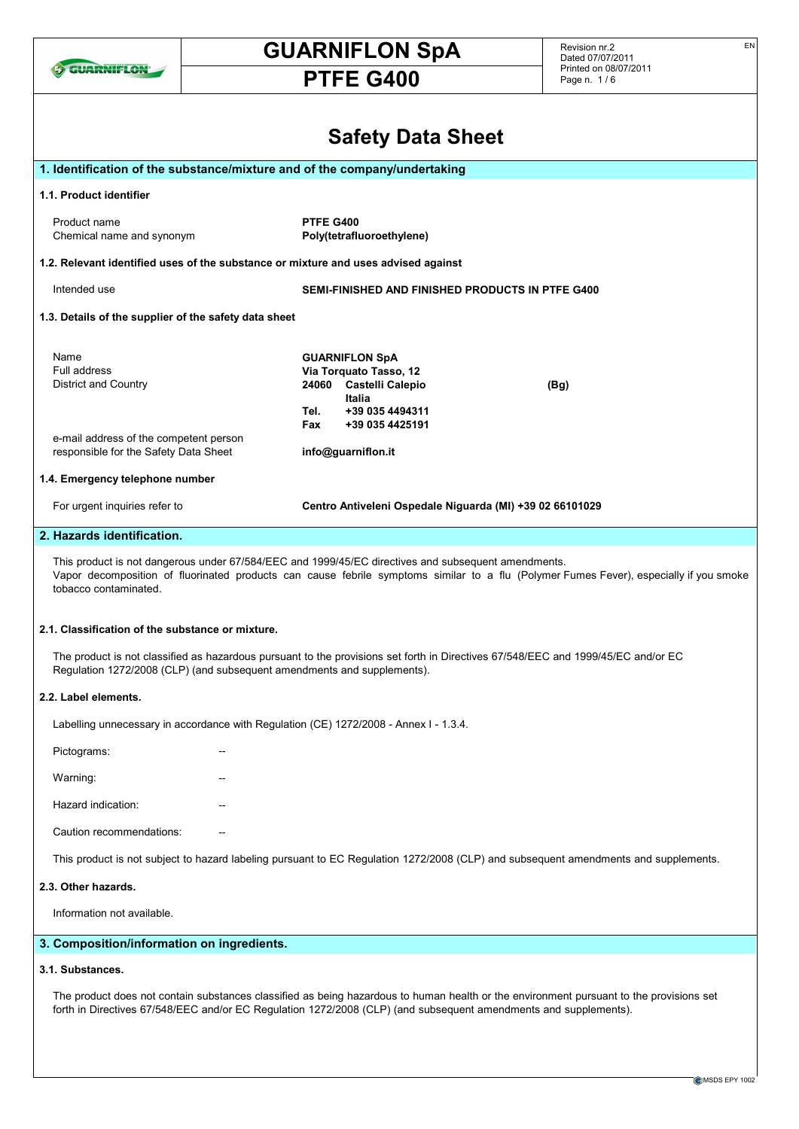

# GUARNIFLON SpA

# PTFE G400

Revision nr.2 Dated 07/07/2011 Printed on 08/07/2011 Page n. 1 / 6

| <b>Safety Data Sheet</b>                                                                                                                                                                                                                                               |             |                                                                                                                                                         |  |
|------------------------------------------------------------------------------------------------------------------------------------------------------------------------------------------------------------------------------------------------------------------------|-------------|---------------------------------------------------------------------------------------------------------------------------------------------------------|--|
| 1. Identification of the substance/mixture and of the company/undertaking                                                                                                                                                                                              |             |                                                                                                                                                         |  |
| 1.1. Product identifier                                                                                                                                                                                                                                                |             |                                                                                                                                                         |  |
| Product name<br>Chemical name and synonym                                                                                                                                                                                                                              | PTFE G400   | Poly(tetrafluoroethylene)                                                                                                                               |  |
| 1.2. Relevant identified uses of the substance or mixture and uses advised against                                                                                                                                                                                     |             |                                                                                                                                                         |  |
| Intended use                                                                                                                                                                                                                                                           |             | <b>SEMI-FINISHED AND FINISHED PRODUCTS IN PTFE G400</b>                                                                                                 |  |
| 1.3. Details of the supplier of the safety data sheet                                                                                                                                                                                                                  |             |                                                                                                                                                         |  |
| Name<br>Full address<br>District and Country<br>e-mail address of the competent person<br>responsible for the Safety Data Sheet                                                                                                                                        | Tel.<br>Fax | <b>GUARNIFLON SpA</b><br>Via Torquato Tasso, 12<br>24060 Castelli Calepio<br>(Bg)<br>Italia<br>+39 035 4494311<br>+39 035 4425191<br>info@guarniflon.it |  |
| 1.4. Emergency telephone number                                                                                                                                                                                                                                        |             |                                                                                                                                                         |  |
| For urgent inquiries refer to                                                                                                                                                                                                                                          |             | Centro Antiveleni Ospedale Niguarda (MI) +39 02 66101029                                                                                                |  |
| 2. Hazards identification.                                                                                                                                                                                                                                             |             |                                                                                                                                                         |  |
| This product is not dangerous under 67/584/EEC and 1999/45/EC directives and subsequent amendments.<br>Vapor decomposition of fluorinated products can cause febrile symptoms similar to a flu (Polymer Fumes Fever), especially if you smoke<br>tobacco contaminated. |             |                                                                                                                                                         |  |
| 2.1. Classification of the substance or mixture.<br>The product is not classified as hazardous pursuant to the provisions set forth in Directives 67/548/EEC and 1999/45/EC and/or EC<br>Regulation 1272/2008 (CLP) (and subsequent amendments and supplements).       |             |                                                                                                                                                         |  |
| 2.2. Label elements.                                                                                                                                                                                                                                                   |             |                                                                                                                                                         |  |
| Labelling unnecessary in accordance with Regulation (CE) 1272/2008 - Annex I - 1.3.4.                                                                                                                                                                                  |             |                                                                                                                                                         |  |
| Pictograms:                                                                                                                                                                                                                                                            |             |                                                                                                                                                         |  |
| Warning:                                                                                                                                                                                                                                                               |             |                                                                                                                                                         |  |
| Hazard indication:                                                                                                                                                                                                                                                     |             |                                                                                                                                                         |  |
| Caution recommendations:                                                                                                                                                                                                                                               |             |                                                                                                                                                         |  |
| This product is not subject to hazard labeling pursuant to EC Regulation 1272/2008 (CLP) and subsequent amendments and supplements.                                                                                                                                    |             |                                                                                                                                                         |  |
| 2.3. Other hazards.                                                                                                                                                                                                                                                    |             |                                                                                                                                                         |  |
| Information not available.                                                                                                                                                                                                                                             |             |                                                                                                                                                         |  |
| 3. Composition/information on ingredients.                                                                                                                                                                                                                             |             |                                                                                                                                                         |  |
| 3.1. Substances.                                                                                                                                                                                                                                                       |             |                                                                                                                                                         |  |
| The product does not contain substances classified as being hazardous to human health or the environment pursuant to the provisions set<br>forth in Directives 67/548/EEC and/or EC Regulation 1272/2008 (CLP) (and subsequent amendments and supplements).            |             |                                                                                                                                                         |  |

EN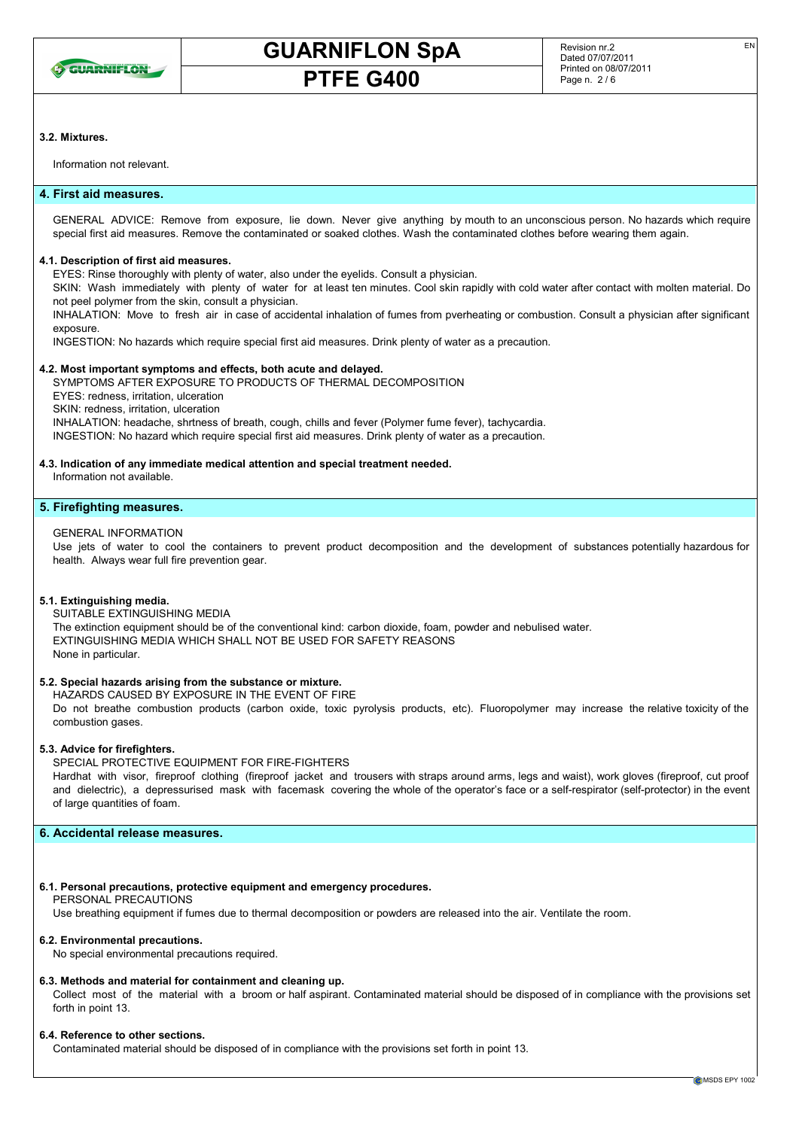

EN

### 3.2. Mixtures.

Information not relevant.

# 4. First aid measures.

GENERAL ADVICE: Remove from exposure, lie down. Never give anything by mouth to an unconscious person. No hazards which require special first aid measures. Remove the contaminated or soaked clothes. Wash the contaminated clothes before wearing them again.

### 4.1. Description of first aid measures.

EYES: Rinse thoroughly with plenty of water, also under the eyelids. Consult a physician.

SKIN: Wash immediately with plenty of water for at least ten minutes. Cool skin rapidly with cold water after contact with molten material. Do not peel polymer from the skin, consult a physician.

INHALATION: Move to fresh air in case of accidental inhalation of fumes from pverheating or combustion. Consult a physician after significant exposure.

INGESTION: No hazards which require special first aid measures. Drink plenty of water as a precaution.

### 4.2. Most important symptoms and effects, both acute and delayed.

SYMPTOMS AFTER EXPOSURE TO PRODUCTS OF THERMAL DECOMPOSITION

EYES: redness, irritation, ulceration

SKIN: redness, irritation, ulceration

INHALATION: headache, shrtness of breath, cough, chills and fever (Polymer fume fever), tachycardia.

INGESTION: No hazard which require special first aid measures. Drink plenty of water as a precaution.

### 4.3. Indication of any immediate medical attention and special treatment needed.

Information not available.

### 5. Firefighting measures.

### GENERAL INFORMATION

Use jets of water to cool the containers to prevent product decomposition and the development of substances potentially hazardous for health. Always wear full fire prevention gear.

### 5.1. Extinguishing media.

SUITABLE EXTINGUISHING MEDIA

The extinction equipment should be of the conventional kind: carbon dioxide, foam, powder and nebulised water. EXTINGUISHING MEDIA WHICH SHALL NOT BE USED FOR SAFETY REASONS None in particular.

### 5.2. Special hazards arising from the substance or mixture.

HAZARDS CAUSED BY EXPOSURE IN THE EVENT OF FIRE

Do not breathe combustion products (carbon oxide, toxic pyrolysis products, etc). Fluoropolymer may increase the relative toxicity of the combustion gases.

### 5.3. Advice for firefighters.

# SPECIAL PROTECTIVE EQUIPMENT FOR FIRE-FIGHTERS

Hardhat with visor, fireproof clothing (fireproof jacket and trousers with straps around arms, legs and waist), work gloves (fireproof, cut proof and dielectric), a depressurised mask with facemask covering the whole of the operator's face or a self-respirator (self-protector) in the event of large quantities of foam.

# 6. Accidental release measures.

# 6.1. Personal precautions, protective equipment and emergency procedures.

# PERSONAL PRECAUTIONS

Use breathing equipment if fumes due to thermal decomposition or powders are released into the air. Ventilate the room.

# 6.2. Environmental precautions.

No special environmental precautions required.

### 6.3. Methods and material for containment and cleaning up.

Collect most of the material with a broom or half aspirant. Contaminated material should be disposed of in compliance with the provisions set forth in point 13.

# 6.4. Reference to other sections.

Contaminated material should be disposed of in compliance with the provisions set forth in point 13.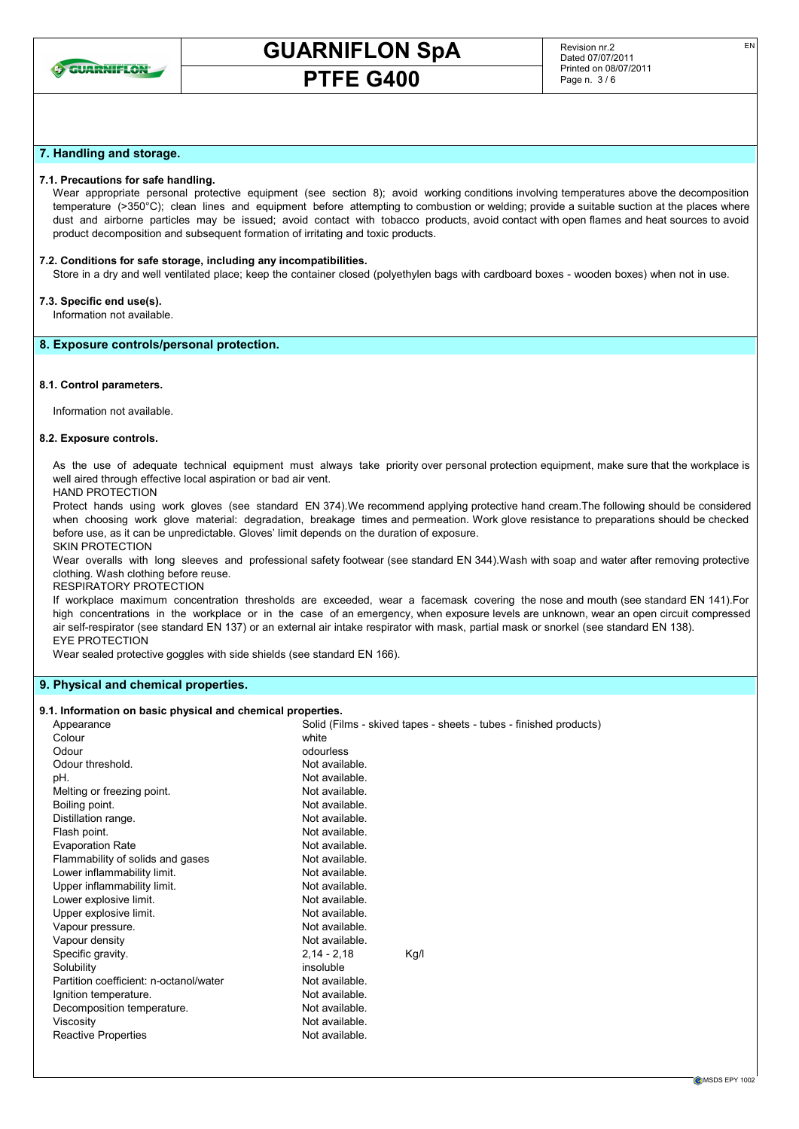

EN

### 7. Handling and storage.

### 7.1. Precautions for safe handling.

Wear appropriate personal protective equipment (see section 8); avoid working conditions involving temperatures above the decomposition temperature (>350°C); clean lines and equipment before attempting to combustion or welding; provide a suitable suction at the places where dust and airborne particles may be issued; avoid contact with tobacco products, avoid contact with open flames and heat sources to avoid product decomposition and subsequent formation of irritating and toxic products.

### 7.2. Conditions for safe storage, including any incompatibilities.

Store in a dry and well ventilated place; keep the container closed (polyethylen bags with cardboard boxes - wooden boxes) when not in use.

# 7.3. Specific end use(s).

Information not available.

### 8. Exposure controls/personal protection.

#### 8.1. Control parameters.

Information not available.

#### 8.2. Exposure controls.

As the use of adequate technical equipment must always take priority over personal protection equipment, make sure that the workplace is well aired through effective local aspiration or bad air vent.

### HAND PROTECTION

Protect hands using work gloves (see standard EN 374).We recommend applying protective hand cream.The following should be considered when choosing work glove material: degradation, breakage times and permeation. Work glove resistance to preparations should be checked before use, as it can be unpredictable. Gloves' limit depends on the duration of exposure.

SKIN PROTECTION

Wear overalls with long sleeves and professional safety footwear (see standard EN 344).Wash with soap and water after removing protective clothing. Wash clothing before reuse.

RESPIRATORY PROTECTION

If workplace maximum concentration thresholds are exceeded, wear a facemask covering the nose and mouth (see standard EN 141).For high concentrations in the workplace or in the case of an emergency, when exposure levels are unknown, wear an open circuit compressed air self-respirator (see standard EN 137) or an external air intake respirator with mask, partial mask or snorkel (see standard EN 138). EYE PROTECTION

Wear sealed protective goggles with side shields (see standard EN 166).

### 9. Physical and chemical properties.

#### 9.1. Information on basic physical and chemical properties.

| Appearance                             | Solid (Films - skived tapes - sheets - tubes - finished products) |
|----------------------------------------|-------------------------------------------------------------------|
| Colour                                 | white                                                             |
| Odour                                  | odourless                                                         |
| Odour threshold.                       | Not available.                                                    |
| pH.                                    | Not available.                                                    |
| Melting or freezing point.             | Not available.                                                    |
| Boiling point.                         | Not available.                                                    |
| Distillation range.                    | Not available.                                                    |
| Flash point.                           | Not available.                                                    |
| <b>Evaporation Rate</b>                | Not available.                                                    |
| Flammability of solids and gases       | Not available.                                                    |
| Lower inflammability limit.            | Not available.                                                    |
| Upper inflammability limit.            | Not available.                                                    |
| Lower explosive limit.                 | Not available.                                                    |
| Upper explosive limit.                 | Not available.                                                    |
| Vapour pressure.                       | Not available.                                                    |
| Vapour density                         | Not available.                                                    |
| Specific gravity.                      | $2,14 - 2,18$<br>Kg/I                                             |
| Solubility                             | insoluble                                                         |
| Partition coefficient: n-octanol/water | Not available.                                                    |
| Ignition temperature.                  | Not available.                                                    |
| Decomposition temperature.             | Not available.                                                    |
| Viscosity                              | Not available.                                                    |
| <b>Reactive Properties</b>             | Not available.                                                    |
|                                        |                                                                   |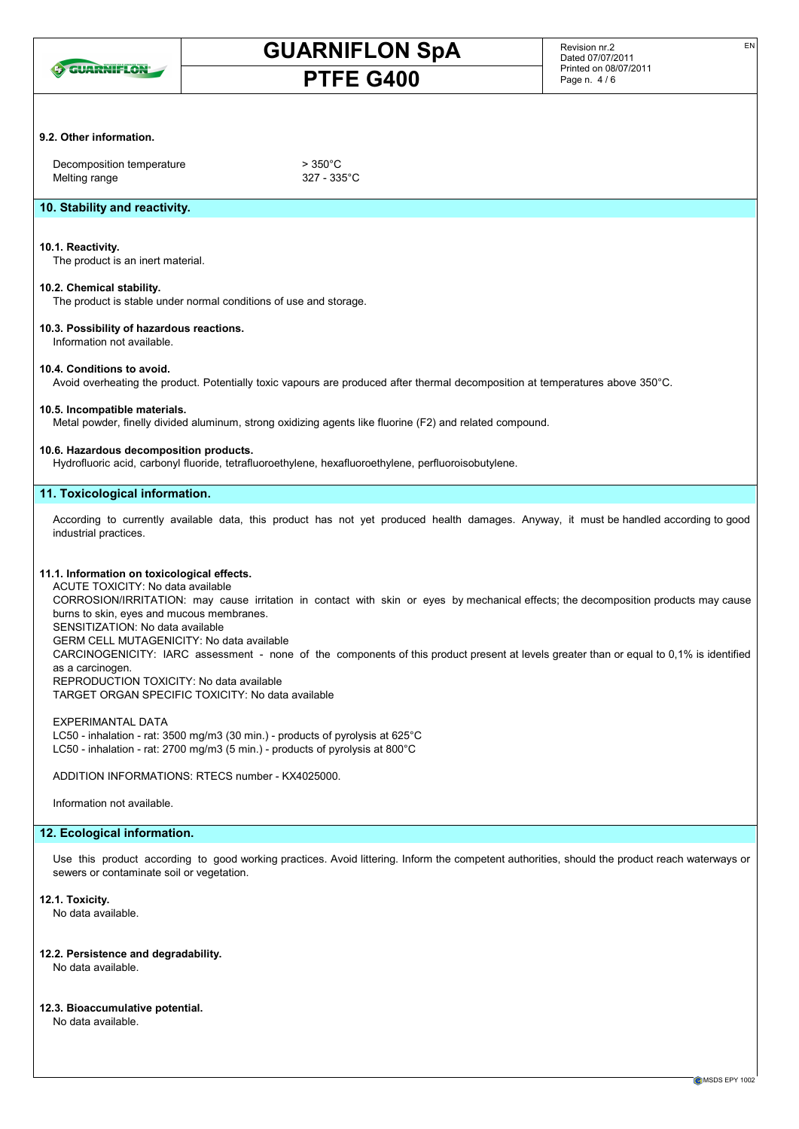

#### Revision nr.2 Dated 07/07/2011 Printed on 08/07/2011 Page n. 4 / 6

EN

# 9.2. Other information.

Decomposition temperature  $> 350^{\circ}$ C Melting range 327 - 335°C

# 10. Stability and reactivity.

### 10.1. Reactivity.

The product is an inert material.

### 10.2. Chemical stability.

The product is stable under normal conditions of use and storage.

### 10.3. Possibility of hazardous reactions. Information not available.

### 10.4. Conditions to avoid.

Avoid overheating the product. Potentially toxic vapours are produced after thermal decomposition at temperatures above 350°C.

# 10.5. Incompatible materials.

Metal powder, finelly divided aluminum, strong oxidizing agents like fluorine (F2) and related compound.

# 10.6. Hazardous decomposition products.

Hydrofluoric acid, carbonyl fluoride, tetrafluoroethylene, hexafluoroethylene, perfluoroisobutylene.

# 11. Toxicological information.

According to currently available data, this product has not yet produced health damages. Anyway, it must be handled according to good industrial practices.

### 11.1. Information on toxicological effects.

ACUTE TOXICITY: No data available CORROSION/IRRITATION: may cause irritation in contact with skin or eyes by mechanical effects; the decomposition products may cause burns to skin, eyes and mucous membranes. SENSITIZATION: No data available GERM CELL MUTAGENICITY: No data available

CARCINOGENICITY: IARC assessment - none of the components of this product present at levels greater than or equal to 0,1% is identified as a carcinogen.

REPRODUCTION TOXICITY: No data available TARGET ORGAN SPECIFIC TOXICITY: No data available

EXPERIMANTAL DATA LC50 - inhalation - rat: 3500 mg/m3 (30 min.) - products of pyrolysis at 625°C LC50 - inhalation - rat: 2700 mg/m3 (5 min.) - products of pyrolysis at 800°C

ADDITION INFORMATIONS: RTECS number - KX4025000.

Information not available.

# 12. Ecological information.

Use this product according to good working practices. Avoid littering. Inform the competent authorities, should the product reach waterways or sewers or contaminate soil or vegetation.

### 12.1. Toxicity.

No data available.

12.2. Persistence and degradability. No data available.

12.3. Bioaccumulative potential. No data available.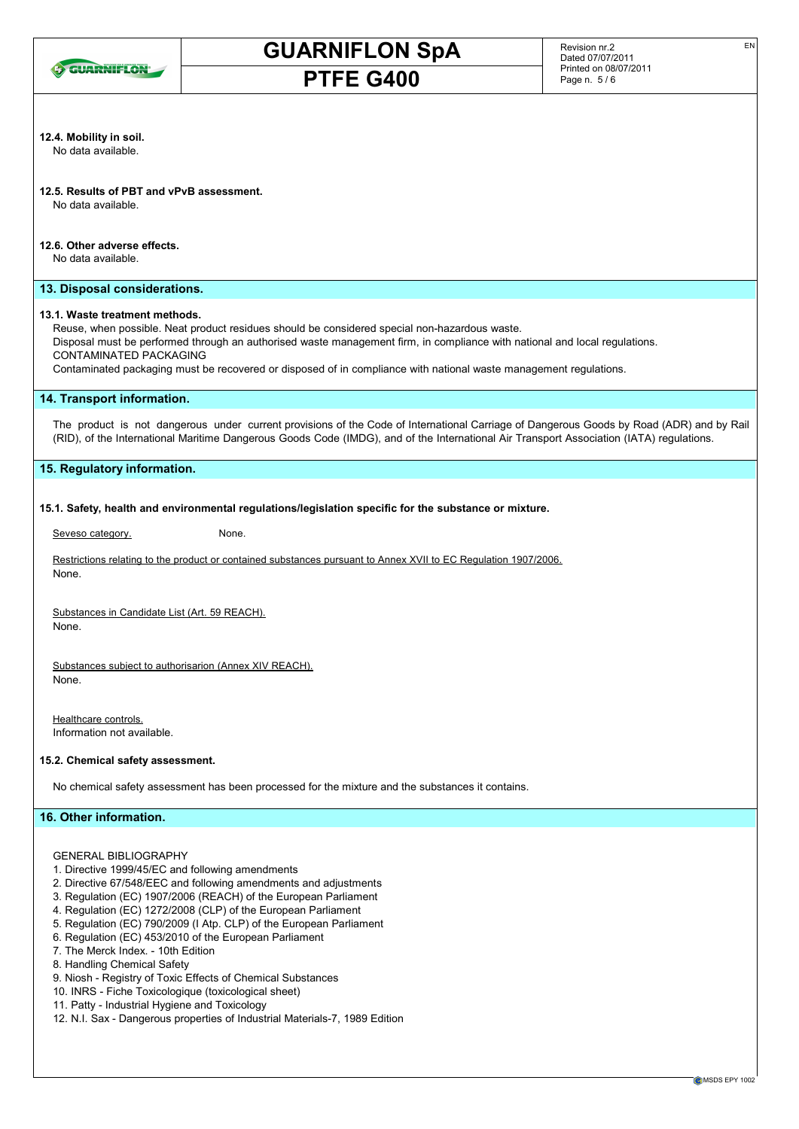

#### Revision nr.2 Dated 07/07/2011 Printed on 08/07/2011 Page n. 5 / 6

EN

# 12.4. Mobility in soil.

No data available.

# 12.5. Results of PBT and vPvB assessment.

No data available.

# 12.6. Other adverse effects.

No data available.

# 13. Disposal considerations.

# 13.1. Waste treatment methods.

Reuse, when possible. Neat product residues should be considered special non-hazardous waste.

Disposal must be performed through an authorised waste management firm, in compliance with national and local regulations. CONTAMINATED PACKAGING

Contaminated packaging must be recovered or disposed of in compliance with national waste management regulations.

### 14. Transport information.

The product is not dangerous under current provisions of the Code of International Carriage of Dangerous Goods by Road (ADR) and by Rail (RID), of the International Maritime Dangerous Goods Code (IMDG), and of the International Air Transport Association (IATA) regulations.

### 15. Regulatory information.

### 15.1. Safety, health and environmental regulations/legislation specific for the substance or mixture.

Seveso category. None.

Restrictions relating to the product or contained substances pursuant to Annex XVII to EC Regulation 1907/2006. None.

Substances in Candidate List (Art. 59 REACH). None.

Substances subject to authorisarion (Annex XIV REACH). None.

Healthcare controls. Information not available.

### 15.2. Chemical safety assessment.

No chemical safety assessment has been processed for the mixture and the substances it contains.

### 16. Other information.

GENERAL BIBLIOGRAPHY

- 1. Directive 1999/45/EC and following amendments
- 2. Directive 67/548/EEC and following amendments and adjustments
- 3. Regulation (EC) 1907/2006 (REACH) of the European Parliament
- 4. Regulation (EC) 1272/2008 (CLP) of the European Parliament
- 5. Regulation (EC) 790/2009 (I Atp. CLP) of the European Parliament
- 6. Regulation (EC) 453/2010 of the European Parliament
- 7. The Merck Index. 10th Edition
- 8. Handling Chemical Safety
- 9. Niosh Registry of Toxic Effects of Chemical Substances
- 10. INRS Fiche Toxicologique (toxicological sheet)
- 11. Patty Industrial Hygiene and Toxicology
- 12. N.I. Sax Dangerous properties of Industrial Materials-7, 1989 Edition